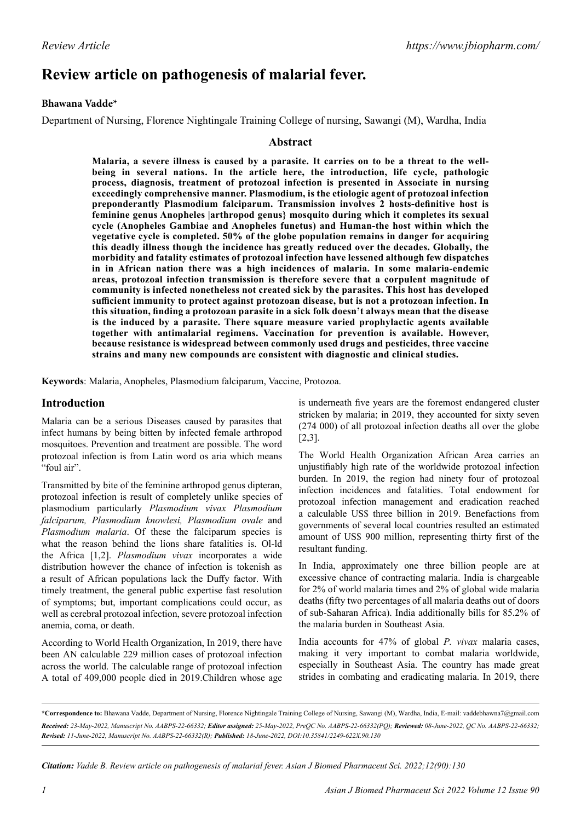# **Review article on pathogenesis of malarial fever.**

# **Bhawana Vadde\***

Department of Nursing, Florence Nightingale Training College of nursing, Sawangi (M), Wardha, India

# **Abstract**

**Malaria, a severe illness is caused by a parasite. It carries on to be a threat to the wellbeing in several nations. In the article here, the introduction, life cycle, pathologic process, diagnosis, treatment of protozoal infection is presented in Associate in nursing exceedingly comprehensive manner. Plasmodium, is the etiologic agent of protozoal infection preponderantly Plasmodium falciparum. Transmission involves 2 hosts-definitive host is feminine genus Anopheles |arthropod genus} mosquito during which it completes its sexual cycle (Anopheles Gambiae and Anopheles funetus) and Human-the host within which the vegetative cycle is completed. 50% of the globe population remains in danger for acquiring this deadly illness though the incidence has greatly reduced over the decades. Globally, the morbidity and fatality estimates of protozoal infection have lessened although few dispatches in in African nation there was a high incidences of malaria. In some malaria-endemic areas, protozoal infection transmission is therefore severe that a corpulent magnitude of community is infected nonetheless not created sick by the parasites. This host has developed sufficient immunity to protect against protozoan disease, but is not a protozoan infection. In this situation, finding a protozoan parasite in a sick folk doesn't always mean that the disease is the induced by a parasite. There square measure varied prophylactic agents available together with antimalarial regimens. Vaccination for prevention is available. However, because resistance is widespread between commonly used drugs and pesticides, three vaccine strains and many new compounds are consistent with diagnostic and clinical studies.**

**Keywords**: Malaria, Anopheles, Plasmodium falciparum, Vaccine, Protozoa.

# **Introduction**

Malaria can be a serious Diseases caused by parasites that infect humans by being bitten by infected female arthropod mosquitoes. Prevention and treatment are possible. The word protozoal infection is from Latin word os aria which means "foul air".

Transmitted by bite of the feminine arthropod genus dipteran, protozoal infection is result of completely unlike species of plasmodium particularly *Plasmodium vivax Plasmodium falciparum, Plasmodium knowlesi, Plasmodium ovale* and *Plasmodium malaria*. Of these the falciparum species is what the reason behind the lions share fatalities is. Ol-ld the Africa [1,2]. *Plasmodium vivax* incorporates a wide distribution however the chance of infection is tokenish as a result of African populations lack the Duffy factor. With timely treatment, the general public expertise fast resolution of symptoms; but, important complications could occur, as well as cerebral protozoal infection, severe protozoal infection anemia, coma, or death.

According to World Health Organization, In 2019, there have been AN calculable 229 million cases of protozoal infection across the world. The calculable range of protozoal infection A total of 409,000 people died in 2019.Children whose age is underneath five years are the foremost endangered cluster stricken by malaria; in 2019, they accounted for sixty seven (274 000) of all protozoal infection deaths all over the globe [2,3].

The World Health Organization African Area carries an unjustifiably high rate of the worldwide protozoal infection burden. In 2019, the region had ninety four of protozoal infection incidences and fatalities. Total endowment for protozoal infection management and eradication reached a calculable US\$ three billion in 2019. Benefactions from governments of several local countries resulted an estimated amount of US\$ 900 million, representing thirty first of the resultant funding.

In India, approximately one three billion people are at excessive chance of contracting malaria. India is chargeable for 2% of world malaria times and 2% of global wide malaria deaths (fifty two percentages of all malaria deaths out of doors of sub-Saharan Africa). India additionally bills for 85.2% of the malaria burden in Southeast Asia.

India accounts for 47% of global *P. vivax* malaria cases, making it very important to combat malaria worldwide, especially in Southeast Asia. The country has made great strides in combating and eradicating malaria. In 2019, there

*Citation: Vadde B. Review article on pathogenesis of malarial fever. Asian J Biomed Pharmaceut Sci. 2022;12(90):130*

**<sup>\*</sup>Correspondence to:** Bhawana Vadde, Department of Nursing, Florence Nightingale Training College of Nursing, Sawangi (M), Wardha, India, E-mail: vaddebhawna7@gmail.com *Received: 23-May-2022, Manuscript No. AABPS-22-66332; Editor assigned: 25-May-2022, PreQC No. AABPS-22-66332(PQ); Reviewed: 08-June-2022, QC No. AABPS-22-66332; Revised: 11-June-2022, Manuscript No. AABPS-22-66332(R); Published: 18-June-2022, DOI:10.35841/2249-622X.90.130*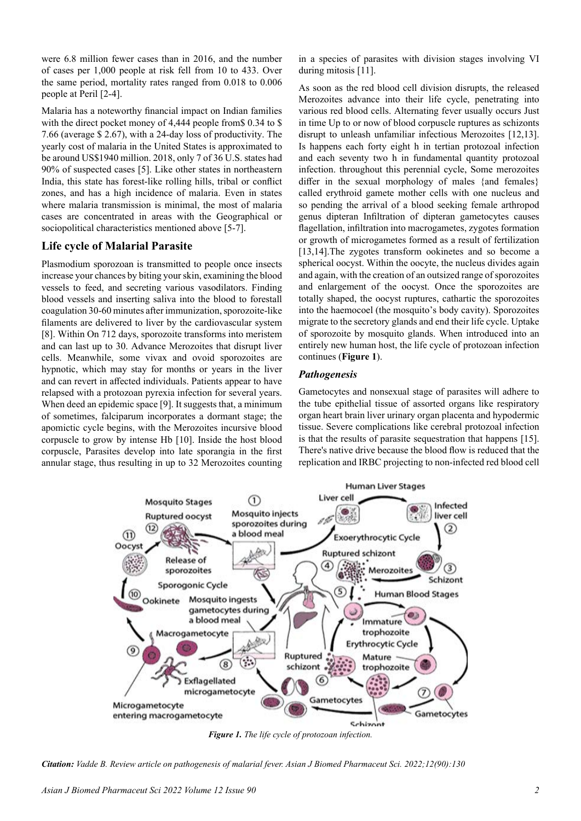were 6.8 million fewer cases than in 2016, and the number of cases per 1,000 people at risk fell from 10 to 433. Over the same period, mortality rates ranged from 0.018 to 0.006 people at Peril [2-4].

Malaria has a noteworthy financial impact on Indian families with the direct pocket money of 4,444 people from \$ 0.34 to \$ 7.66 (average \$ 2.67), with a 24-day loss of productivity. The yearly cost of malaria in the United States is approximated to be around US\$1940 million. 2018, only 7 of 36 U.S. states had 90% of suspected cases [5]. Like other states in northeastern India, this state has forest-like rolling hills, tribal or conflict zones, and has a high incidence of malaria. Even in states where malaria transmission is minimal, the most of malaria cases are concentrated in areas with the Geographical or sociopolitical characteristics mentioned above [5-7].

# **Life cycle of Malarial Parasite**

Plasmodium sporozoan is transmitted to people once insects increase your chances by biting your skin, examining the blood vessels to feed, and secreting various vasodilators. Finding blood vessels and inserting saliva into the blood to forestall coagulation 30-60 minutes after immunization, sporozoite-like filaments are delivered to liver by the cardiovascular system [8]. Within On 712 days, sporozoite transforms into meristem and can last up to 30. Advance Merozoites that disrupt liver cells. Meanwhile, some vivax and ovoid sporozoites are hypnotic, which may stay for months or years in the liver and can revert in affected individuals. Patients appear to have relapsed with a protozoan pyrexia infection for several years. When deed an epidemic space [9]. It suggests that, a minimum of sometimes, falciparum incorporates a dormant stage; the apomictic cycle begins, with the Merozoites incursive blood corpuscle to grow by intense Hb [10]. Inside the host blood corpuscle, Parasites develop into late sporangia in the first annular stage, thus resulting in up to 32 Merozoites counting in a species of parasites with division stages involving VI during mitosis [11].

As soon as the red blood cell division disrupts, the released Merozoites advance into their life cycle, penetrating into various red blood cells. Alternating fever usually occurs Just in time Up to or now of blood corpuscle ruptures as schizonts disrupt to unleash unfamiliar infectious Merozoites [12,13]. Is happens each forty eight h in tertian protozoal infection and each seventy two h in fundamental quantity protozoal infection. throughout this perennial cycle, Some merozoites differ in the sexual morphology of males {and females} called erythroid gamete mother cells with one nucleus and so pending the arrival of a blood seeking female arthropod genus dipteran Infiltration of dipteran gametocytes causes flagellation, infiltration into macrogametes, zygotes formation or growth of microgametes formed as a result of fertilization [13,14]. The zygotes transform ookinetes and so become a spherical oocyst. Within the oocyte, the nucleus divides again and again, with the creation of an outsized range of sporozoites and enlargement of the oocyst. Once the sporozoites are totally shaped, the oocyst ruptures, cathartic the sporozoites into the haemocoel (the mosquito's body cavity). Sporozoites migrate to the secretory glands and end their life cycle. Uptake of sporozoite by mosquito glands. When introduced into an entirely new human host, the life cycle of protozoan infection continues (**Figure 1**).

# *Pathogenesis*

Gametocytes and nonsexual stage of parasites will adhere to the tube epithelial tissue of assorted organs like respiratory organ heart brain liver urinary organ placenta and hypodermic tissue. Severe complications like cerebral protozoal infection is that the results of parasite sequestration that happens [15]. There's native drive because the blood flow is reduced that the replication and IRBC projecting to non-infected red blood cell



*Figure 1. The life cycle of protozoan infection.*

*Citation: Vadde B. Review article on pathogenesis of malarial fever. Asian J Biomed Pharmaceut Sci. 2022;12(90):130*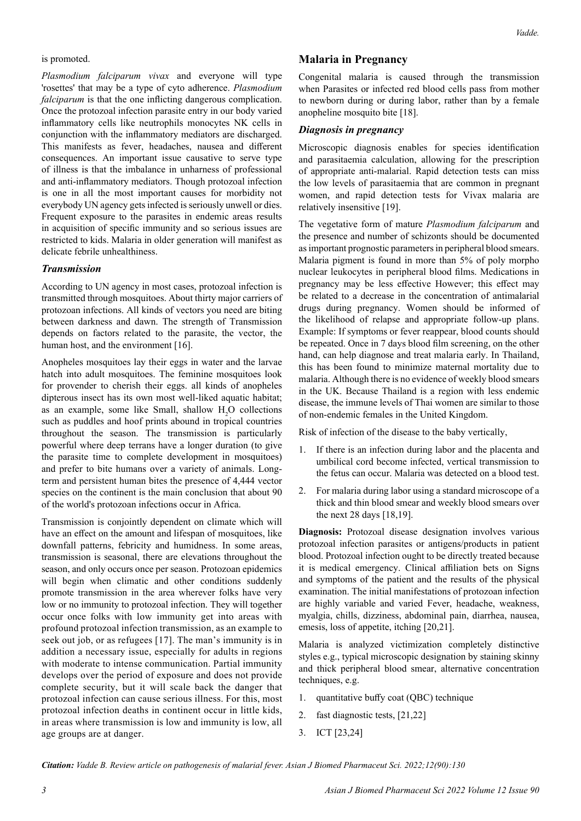#### is promoted.

*Plasmodium falciparum vivax* and everyone will type 'rosettes' that may be a type of cyto adherence. *Plasmodium falciparum* is that the one inflicting dangerous complication. Once the protozoal infection parasite entry in our body varied inflammatory cells like neutrophils monocytes NK cells in conjunction with the inflammatory mediators are discharged. This manifests as fever, headaches, nausea and different consequences. An important issue causative to serve type of illness is that the imbalance in unharness of professional and anti-inflammatory mediators. Though protozoal infection is one in all the most important causes for morbidity not everybody UN agency gets infected is seriously unwell or dies. Frequent exposure to the parasites in endemic areas results in acquisition of specific immunity and so serious issues are restricted to kids. Malaria in older generation will manifest as delicate febrile unhealthiness.

#### *Transmission*

According to UN agency in most cases, protozoal infection is transmitted through mosquitoes. About thirty major carriers of protozoan infections. All kinds of vectors you need are biting between darkness and dawn. The strength of Transmission depends on factors related to the parasite, the vector, the human host, and the environment [16].

Anopheles mosquitoes lay their eggs in water and the larvae hatch into adult mosquitoes. The feminine mosquitoes look for provender to cherish their eggs. all kinds of anopheles dipterous insect has its own most well-liked aquatic habitat; as an example, some like Small, shallow  $H_2O$  collections such as puddles and hoof prints abound in tropical countries throughout the season. The transmission is particularly powerful where deep terrans have a longer duration (to give the parasite time to complete development in mosquitoes) and prefer to bite humans over a variety of animals. Longterm and persistent human bites the presence of 4,444 vector species on the continent is the main conclusion that about 90 of the world's protozoan infections occur in Africa.

Transmission is conjointly dependent on climate which will have an effect on the amount and lifespan of mosquitoes, like downfall patterns, febricity and humidness. In some areas, transmission is seasonal, there are elevations throughout the season, and only occurs once per season. Protozoan epidemics will begin when climatic and other conditions suddenly promote transmission in the area wherever folks have very low or no immunity to protozoal infection. They will together occur once folks with low immunity get into areas with profound protozoal infection transmission, as an example to seek out job, or as refugees [17]. The man's immunity is in addition a necessary issue, especially for adults in regions with moderate to intense communication. Partial immunity develops over the period of exposure and does not provide complete security, but it will scale back the danger that protozoal infection can cause serious illness. For this, most protozoal infection deaths in continent occur in little kids, in areas where transmission is low and immunity is low, all age groups are at danger.

#### **Malaria in Pregnancy**

Congenital malaria is caused through the transmission when Parasites or infected red blood cells pass from mother to newborn during or during labor, rather than by a female anopheline mosquito bite [18].

#### *Diagnosis in pregnancy*

Microscopic diagnosis enables for species identification and parasitaemia calculation, allowing for the prescription of appropriate anti-malarial. Rapid detection tests can miss the low levels of parasitaemia that are common in pregnant women, and rapid detection tests for Vivax malaria are relatively insensitive [19].

The vegetative form of mature *Plasmodium falciparum* and the presence and number of schizonts should be documented as important prognostic parameters in peripheral blood smears. Malaria pigment is found in more than 5% of poly morpho nuclear leukocytes in peripheral blood films. Medications in pregnancy may be less effective However; this effect may be related to a decrease in the concentration of antimalarial drugs during pregnancy. Women should be informed of the likelihood of relapse and appropriate follow-up plans. Example: If symptoms or fever reappear, blood counts should be repeated. Once in 7 days blood film screening, on the other hand, can help diagnose and treat malaria early. In Thailand, this has been found to minimize maternal mortality due to malaria. Although there is no evidence of weekly blood smears in the UK. Because Thailand is a region with less endemic disease, the immune levels of Thai women are similar to those of non-endemic females in the United Kingdom.

Risk of infection of the disease to the baby vertically,

- 1. If there is an infection during labor and the placenta and umbilical cord become infected, vertical transmission to the fetus can occur. Malaria was detected on a blood test.
- 2. For malaria during labor using a standard microscope of a thick and thin blood smear and weekly blood smears over the next 28 days [18,19].

**Diagnosis:** Protozoal disease designation involves various protozoal infection parasites or antigens/products in patient blood. Protozoal infection ought to be directly treated because it is medical emergency. Clinical affiliation bets on Signs and symptoms of the patient and the results of the physical examination. The initial manifestations of protozoan infection are highly variable and varied Fever, headache, weakness, myalgia, chills, dizziness, abdominal pain, diarrhea, nausea, emesis, loss of appetite, itching [20,21].

Malaria is analyzed victimization completely distinctive styles e.g., typical microscopic designation by staining skinny and thick peripheral blood smear, alternative concentration techniques, e.g.

- 1. quantitative buffy coat (QBC) technique
- 2. fast diagnostic tests, [21,22]
- 3. ICT [23,24]

*Citation: Vadde B. Review article on pathogenesis of malarial fever. Asian J Biomed Pharmaceut Sci. 2022;12(90):130*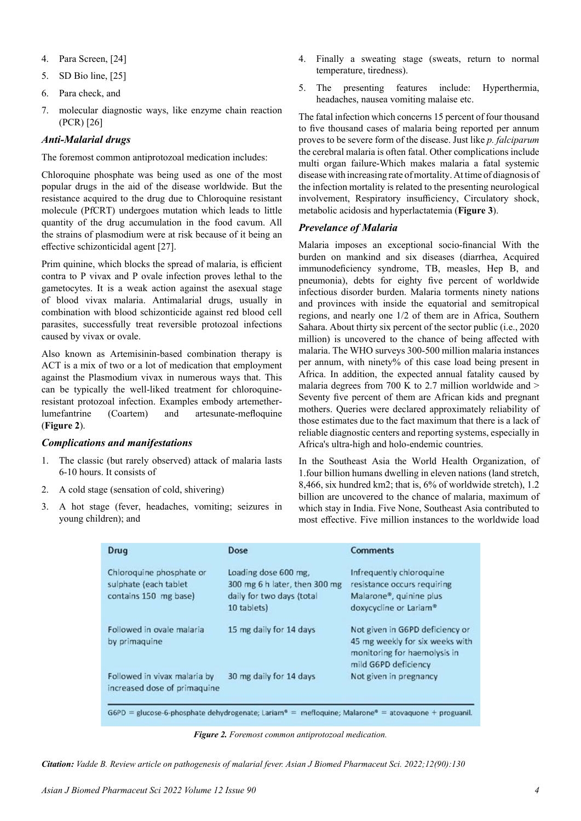- 4. Para Screen, [24]
- 5. SD Bio line, [25]
- 6. Para check, and
- 7. molecular diagnostic ways, like enzyme chain reaction (PCR) [26]

## *Anti-Malarial drugs*

The foremost common antiprotozoal medication includes:

Chloroquine phosphate was being used as one of the most popular drugs in the aid of the disease worldwide. But the resistance acquired to the drug due to Chloroquine resistant molecule (PfCRT) undergoes mutation which leads to little quantity of the drug accumulation in the food cavum. All the strains of plasmodium were at risk because of it being an effective schizonticidal agent [27].

Prim quinine, which blocks the spread of malaria, is efficient contra to P vivax and P ovale infection proves lethal to the gametocytes. It is a weak action against the asexual stage of blood vivax malaria. Antimalarial drugs, usually in combination with blood schizonticide against red blood cell parasites, successfully treat reversible protozoal infections caused by vivax or ovale.

Also known as Artemisinin-based combination therapy is ACT is a mix of two or a lot of medication that employment against the Plasmodium vivax in numerous ways that. This can be typically the well-liked treatment for chloroquineresistant protozoal infection. Examples embody artemetherlumefantrine (Coartem) and artesunate-mefloquine (**Figure 2**).

#### *Complications and manifestations*

- 1. The classic (but rarely observed) attack of malaria lasts 6-10 hours. It consists of
- 2. A cold stage (sensation of cold, shivering)
- 3. A hot stage (fever, headaches, vomiting; seizures in young children); and
- 4. Finally a sweating stage (sweats, return to normal temperature, tiredness).
- 5. The presenting features include: Hyperthermia, headaches, nausea vomiting malaise etc.

The fatal infection which concerns 15 percent of four thousand to five thousand cases of malaria being reported per annum proves to be severe form of the disease. Just like *p. falciparum* the cerebral malaria is often fatal. Other complications include multi organ failure-Which makes malaria a fatal systemic disease with increasing rate of mortality. At time of diagnosis of the infection mortality is related to the presenting neurological involvement, Respiratory insufficiency, Circulatory shock, metabolic acidosis and hyperlactatemia (**Figure 3**).

### *Prevelance of Malaria*

Malaria imposes an exceptional socio-financial With the burden on mankind and six diseases (diarrhea, Acquired immunodeficiency syndrome, TB, measles, Hep B, and pneumonia), debts for eighty five percent of worldwide infectious disorder burden. Malaria torments ninety nations and provinces with inside the equatorial and semitropical regions, and nearly one 1/2 of them are in Africa, Southern Sahara. About thirty six percent of the sector public (i.e., 2020 million) is uncovered to the chance of being affected with malaria. The WHO surveys 300-500 million malaria instances per annum, with ninety% of this case load being present in Africa. In addition, the expected annual fatality caused by malaria degrees from 700 K to 2.7 million worldwide and  $>$ Seventy five percent of them are African kids and pregnant mothers. Queries were declared approximately reliability of those estimates due to the fact maximum that there is a lack of reliable diagnostic centers and reporting systems, especially in Africa's ultra-high and holo-endemic countries.

In the Southeast Asia the World Health Organization, of 1.four billion humans dwelling in eleven nations (land stretch, 8,466, six hundred km2; that is, 6% of worldwide stretch), 1.2 billion are uncovered to the chance of malaria, maximum of which stay in India. Five None, Southeast Asia contributed to most effective. Five million instances to the worldwide load

| Drug                                                                       | Dose                                                                                              | <b>Comments</b>                                                                                                            |
|----------------------------------------------------------------------------|---------------------------------------------------------------------------------------------------|----------------------------------------------------------------------------------------------------------------------------|
| Chloroquine phosphate or<br>sulphate (each tablet<br>contains 150 mg base) | Loading dose 600 mg,<br>300 mg 6 h later, then 300 mg<br>daily for two days (total<br>10 tablets) | Infrequently chloroquine<br>resistance occurs requiring<br>Malarone®, quinine plus<br>doxycycline or Lariam®               |
| Followed in ovale malaria<br>by primaguine                                 | 15 mg daily for 14 days                                                                           | Not given in G6PD deficiency or<br>45 mg weekly for six weeks with<br>monitoring for haemolysis in<br>mild G6PD deficiency |
| Followed in vivax malaria by<br>increased dose of primaguine               | 30 mg daily for 14 days                                                                           | Not given in pregnancy                                                                                                     |

G6PD = glucose-6-phosphate dehydrogenate; Lariam® = mefloquine; Malarone® = atovaquone + proguanil.

*Figure 2. Foremost common antiprotozoal medication.*

*Citation: Vadde B. Review article on pathogenesis of malarial fever. Asian J Biomed Pharmaceut Sci. 2022;12(90):130*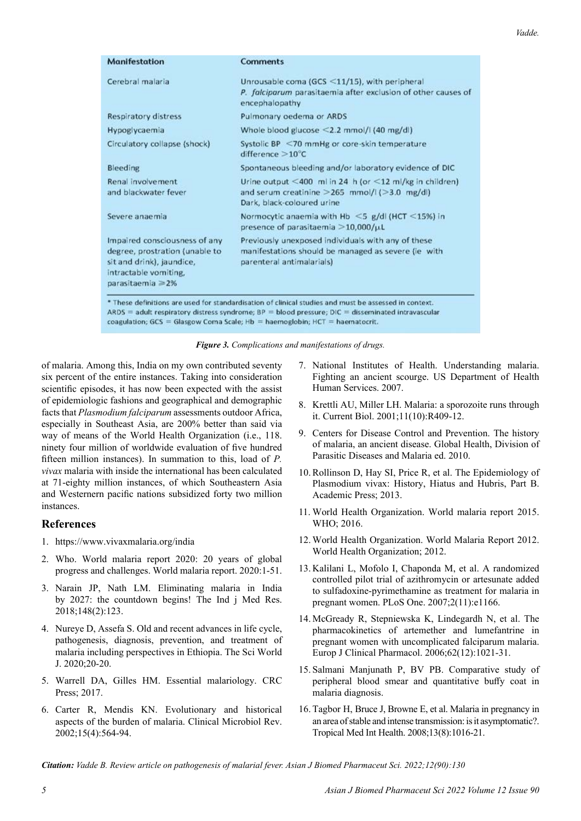| <b>Manifestation</b>                                                                                                                             | <b>Comments</b>                                                                                                                               |  |
|--------------------------------------------------------------------------------------------------------------------------------------------------|-----------------------------------------------------------------------------------------------------------------------------------------------|--|
| Cerebral malaria                                                                                                                                 | Unrousable coma (GCS $\leq$ 11/15), with peripheral<br>P. falciparum parasitaemia after exclusion of other causes of<br>encephalopathy        |  |
| <b>Respiratory distress</b>                                                                                                                      | Pulmonary oederna or ARDS                                                                                                                     |  |
| Hypoglycaemia                                                                                                                                    | Whole blood glucose $\leq$ 2.2 mmol/l (40 mg/dl)                                                                                              |  |
| Circulatory collapse (shock)                                                                                                                     | Systolic BP <70 mmHg or core-skin temperature<br>difference $>10^{\circ}$ C                                                                   |  |
| Bleeding                                                                                                                                         | Spontaneous bleeding and/or laboratory evidence of DIC                                                                                        |  |
| Renal involvement<br>and blackwater fever                                                                                                        | Urine output <400 ml in 24 h (or <12 ml/kg in children)<br>and serum creatinine $>$ 265 mmol/l ( $>$ 3.0 mg/dl)<br>Dark, black-coloured urine |  |
| Severe anaemia                                                                                                                                   | Normocytic anaemia with Hb $\leq$ 5 g/dl (HCT $\leq$ 15%) in<br>presence of parasitaemia $>$ 10,000/ $\mu$ L                                  |  |
| Impaired consciousness of any<br>degree, prostration (unable to<br>sit and drink), jaundice,<br>intractable vomiting,<br>parasitaemia $\geq 2\%$ | Previously unexposed individuals with any of these<br>manifestations should be managed as severe (ie with<br>parenteral antimalarials)        |  |

ARDS = adult respiratory distress syndrome;  $BP = blood pressure$ ;  $DIC = disseminated$  intravascular coagulation; GCS = Glasgow Coma Scale; Hb = haemoglobin; HCT = haematocrit.

| Figure 3. Complications and manifestations of drugs. |  |  |
|------------------------------------------------------|--|--|
|------------------------------------------------------|--|--|

of malaria. Among this, India on my own contributed seventy six percent of the entire instances. Taking into consideration scientific episodes, it has now been expected with the assist of epidemiologic fashions and geographical and demographic facts that *Plasmodium falciparum* assessments outdoor Africa, especially in Southeast Asia, are 200% better than said via way of means of the World Health Organization (i.e., 118. ninety four million of worldwide evaluation of five hundred fifteen million instances). In summation to this, load of *P. vivax* malaria with inside the international has been calculated at 71-eighty million instances, of which Southeastern Asia and Westernern pacific nations subsidized forty two million instances.

# **References**

- 1. <https://www.vivaxmalaria.org/india>
- 2. Who. World malaria report 2020: 20 years of global progress and challenges. World malaria report. 2020:1-51.
- 3. Narain JP, Nath LM. Eliminating malaria in India by 2027: the countdown begins! The Ind j Med Res. 2018;148(2):123.
- 4. Nureye D, Assefa S. [Old and recent advances in life cycle,](https://www.hindawi.com/journals/tswj/2020/1295381/) [pathogenesis, diagnosis, prevention, and treatment of](https://www.hindawi.com/journals/tswj/2020/1295381/) [malaria including perspectives in Ethiopia](https://www.hindawi.com/journals/tswj/2020/1295381/). The Sci World J. 2020;20-20.
- 5. Warrell DA, Gilles HM. [Essential malariology.](https://books.google.co.in/books?hl=en&lr=&id=VwXFDwAAQBAJ&oi=fnd&pg=PP1&dq=%E2%80%9CThe+anopheles+vector,%E2%80%9D+in+Essential+Malariology,+H.+Gilles+and+D.+Warrell,+Eds.,+pp.+59%E2%80%9384,+Arnold,+London,+UK,+4th+edition&ots=3FZCkyz-PG&sig=7VjMSySjOgFxP2Myw3cp40ljw-M&redir_esc=y#v=onepage&q&f=false) CRC Press; 2017.
- 6. Carter R, Mendis KN. [Evolutionary and historical](https://journals.asm.org/doi/full/10.1128/CMR.15.4.564-594.2002) [aspects of the burden of malaria](https://journals.asm.org/doi/full/10.1128/CMR.15.4.564-594.2002). Clinical Microbiol Rev. 2002;15(4):564-94.
- 7. National Institutes of Health. Understanding malaria. Fighting an ancient scourge. US Department of Health Human Services. 2007.
- 8. Krettli AU, Miller LH. [Malaria: a sporozoite runs through](https://www.sciencedirect.com/science/article/pii/S0960982201002214)  [it.](https://www.sciencedirect.com/science/article/pii/S0960982201002214) Current Biol. 2001;11(10):R409-12.
- 9. Centers for Disease Control and Prevention. The history of malaria, an ancient disease. Global Health, Division of Parasitic Diseases and Malaria ed. 2010.
- 10. Rollinson D, Hay SI, Price R, et al. [The Epidemiology of](https://www.elsevier.com/books/the-epidemiology-of-plasmodium-vivax-history-hiatus-and-hubris-part-b/hay/978-0-12-407826-0)  [Plasmodium vivax: History, Hiatus and Hubris, Part B](https://www.elsevier.com/books/the-epidemiology-of-plasmodium-vivax-history-hiatus-and-hubris-part-b/hay/978-0-12-407826-0). Academic Press; 2013.
- 11. World Health Organization. [World malaria report 2015](https://books.google.co.in/books?hl=en&lr=&id=rg4LDgAAQBAJ&oi=fnd&pg=PP1&dq=World+Health+Organization+(WHO)+World+Malaria+Report&ots=XTlENTUXGA&sig=0cH5e0UFyuyXRqnQamNh78vpknk&redir_esc=y#v=onepage&q=World Health Organization (WHO) World Malaria Report&f=false). WHO; 2016.
- 12. World Health Organization. [World Malaria Report 2012](https://www.cabdirect.org/cabdirect/abstract/20133318577). World Health Organization; 2012.
- 13. Kalilani L, Mofolo I, Chaponda M, et al. [A randomized](https://journals.plos.org/plosone/article?id=10.1371/journal.pone.0001166)  [controlled pilot trial of azithromycin or artesunate added](https://journals.plos.org/plosone/article?id=10.1371/journal.pone.0001166)  [to sulfadoxine-pyrimethamine as treatment for malaria in](https://journals.plos.org/plosone/article?id=10.1371/journal.pone.0001166)  [pregnant women](https://journals.plos.org/plosone/article?id=10.1371/journal.pone.0001166). PLoS One. 2007;2(11):e1166.
- 14. McGready R, Stepniewska K, Lindegardh N, et al. [The](https://link.springer.com/article/10.1007/s00228-006-0199-7)  [pharmacokinetics of artemether and lumefantrine in](https://link.springer.com/article/10.1007/s00228-006-0199-7)  [pregnant women with uncomplicated falciparum malaria](https://link.springer.com/article/10.1007/s00228-006-0199-7). Europ J Clinical Pharmacol. 2006;62(12):1021-31.
- 15. Salmani Manjunath P, BV PB. [Comparative study of](http://111.93.251.158/jspui/handle/123456789/1827)  [peripheral blood smear and quantitative buffy coat in](http://111.93.251.158/jspui/handle/123456789/1827)  [malaria diagnosis.](http://111.93.251.158/jspui/handle/123456789/1827)
- 16. Tagbor H, Bruce J, Browne E, et al. [Malaria in pregnancy in](https://onlinelibrary.wiley.com/doi/full/10.1111/j.1365-3156.2008.02111.x)  [an area of stable and intense transmission: is it asymptomatic?](https://onlinelibrary.wiley.com/doi/full/10.1111/j.1365-3156.2008.02111.x). Tropical Med Int Health. 2008;13(8):1016-21.

*Citation: Vadde B. Review article on pathogenesis of malarial fever. Asian J Biomed Pharmaceut Sci. 2022;12(90):130*

*Vadde.*